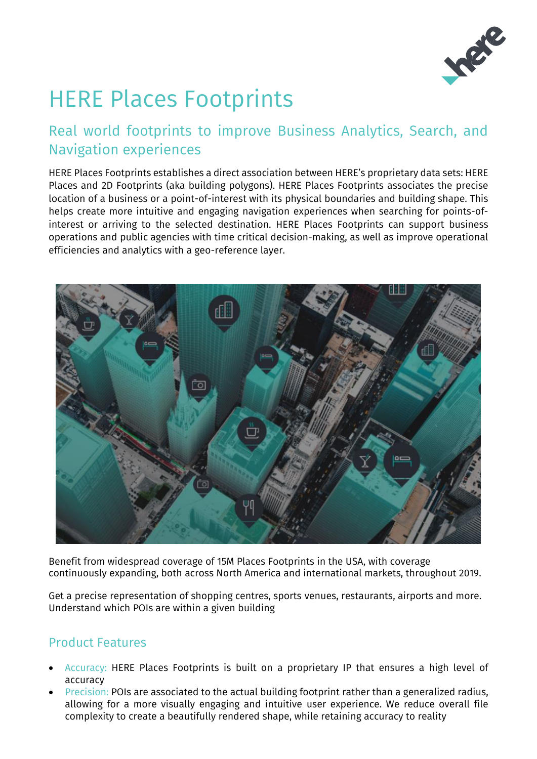

# HERE Places Footprints

## Real world footprints to improve Business Analytics, Search, and Navigation experiences

HERE Places Footprints establishes a direct association between HERE's proprietary data sets: HERE Places and 2D Footprints (aka building polygons). HERE Places Footprints associates the precise location of a business or a point-of-interest with its physical boundaries and building shape. This helps create more intuitive and engaging navigation experiences when searching for points-ofinterest or arriving to the selected destination. HERE Places Footprints can support business operations and public agencies with time critical decision-making, as well as improve operational efficiencies and analytics with a geo-reference layer.



Benefit from widespread coverage of 15M Places Footprints in the USA, with coverage continuously expanding, both across North America and international markets, throughout 2019.

Get a precise representation of shopping centres, sports venues, restaurants, airports and more. Understand which POIs are within a given building

### Product Features

- Accuracy: HERE Places Footprints is built on a proprietary IP that ensures a high level of accuracy
- **Precision: POIs are associated to the actual building footprint rather than a generalized radius,** allowing for a more visually engaging and intuitive user experience. We reduce overall file complexity to create a beautifully rendered shape, while retaining accuracy to reality